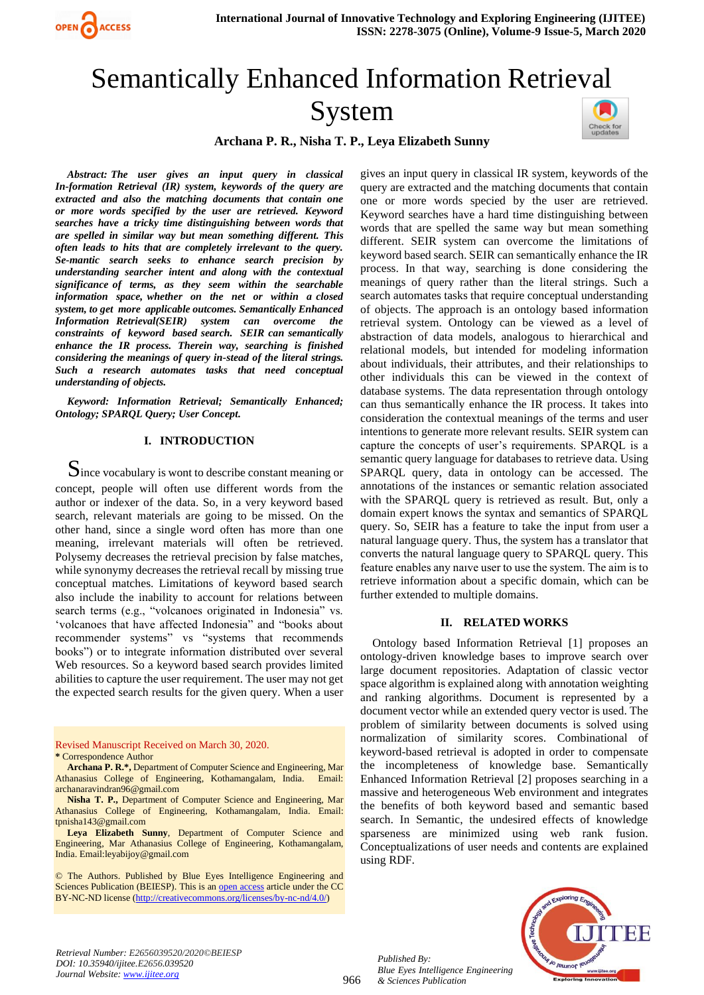

# Semantically Enhanced Information Retrieval System



# **Archana P. R., Nisha T. P., Leya Elizabeth Sunny**

*Abstract: The user gives an input query in classical In-formation Retrieval (IR) system, keywords of the query are extracted and also the matching documents that contain one or more words specified by the user are retrieved. Keyword searches have a tricky time distinguishing between words that are spelled in similar way but mean something different. This often leads to hits that are completely irrelevant to the query. Se-mantic search seeks to enhance search precision by understanding searcher intent and along with the contextual significance of terms, as they seem within the searchable information space, whether on the net or within a closed system, to get more applicable outcomes. Semantically Enhanced Information Retrieval(SEIR) system can overcome the constraints of keyword based search. SEIR can semantically enhance the IR process. Therein way, searching is finished considering the meanings of query in-stead of the literal strings. Such a research automates tasks that need conceptual understanding of objects.*

*Keyword: Information Retrieval; Semantically Enhanced; Ontology; SPARQL Query; User Concept.* 

#### **I. INTRODUCTION**

 $\mathbf S$ ince vocabulary is wont to describe constant meaning or concept, people will often use different words from the author or indexer of the data. So, in a very keyword based search, relevant materials are going to be missed. On the other hand, since a single word often has more than one meaning, irrelevant materials will often be retrieved. Polysemy decreases the retrieval precision by false matches, while synonymy decreases the retrieval recall by missing true conceptual matches. Limitations of keyword based search also include the inability to account for relations between search terms (e.g., "volcanoes originated in Indonesia" vs. 'volcanoes that have affected Indonesia" and "books about recommender systems" vs "systems that recommends books") or to integrate information distributed over several Web resources. So a keyword based search provides limited abilities to capture the user requirement. The user may not get the expected search results for the given query. When a user

Revised Manuscript Received on March 30, 2020. **\*** Correspondence Author

**Archana P. R.\*,** Department of Computer Science and Engineering, Mar Athanasius College of Engineering, Kothamangalam, India. Email: archanaravindran96@gmail.com

**Nisha T. P.,** Department of Computer Science and Engineering, Mar Athanasius College of Engineering, Kothamangalam, India. Email: tpnisha143@gmail.com

**Leya Elizabeth Sunny**, Department of Computer Science and Engineering, Mar Athanasius College of Engineering, Kothamangalam, India. Email:leyabijoy@gmail.com

© The Authors. Published by Blue Eyes Intelligence Engineering and Sciences Publication (BEIESP). This is a[n open access](https://www.openaccess.nl/en/open-publications) article under the CC BY-NC-ND license [\(http://creativecommons.org/licenses/by-nc-nd/4.0/\)](http://creativecommons.org/licenses/by-nc-nd/4.0/)

gives an input query in classical IR system, keywords of the query are extracted and the matching documents that contain one or more words specied by the user are retrieved. Keyword searches have a hard time distinguishing between words that are spelled the same way but mean something different. SEIR system can overcome the limitations of keyword based search. SEIR can semantically enhance the IR process. In that way, searching is done considering the meanings of query rather than the literal strings. Such a search automates tasks that require conceptual understanding of objects. The approach is an ontology based information retrieval system. Ontology can be viewed as a level of abstraction of data models, analogous to hierarchical and relational models, but intended for modeling information about individuals, their attributes, and their relationships to other individuals this can be viewed in the context of database systems. The data representation through ontology can thus semantically enhance the IR process. It takes into consideration the contextual meanings of the terms and user intentions to generate more relevant results. SEIR system can capture the concepts of user's requirements. SPARQL is a semantic query language for databases to retrieve data. Using SPARQL query, data in ontology can be accessed. The annotations of the instances or semantic relation associated with the SPARQL query is retrieved as result. But, only a domain expert knows the syntax and semantics of SPARQL query. So, SEIR has a feature to take the input from user a natural language query. Thus, the system has a translator that converts the natural language query to SPARQL query. This feature enables any naıve user to use the system. The aim is to retrieve information about a specific domain, which can be further extended to multiple domains.

## **II. RELATED WORKS**

Ontology based Information Retrieval [1] proposes an ontology-driven knowledge bases to improve search over large document repositories. Adaptation of classic vector space algorithm is explained along with annotation weighting and ranking algorithms. Document is represented by a document vector while an extended query vector is used. The problem of similarity between documents is solved using normalization of similarity scores. Combinational of keyword-based retrieval is adopted in order to compensate the incompleteness of knowledge base. Semantically Enhanced Information Retrieval [2] proposes searching in a massive and heterogeneous Web environment and integrates the benefits of both keyword based and semantic based search. In Semantic, the undesired effects of knowledge sparseness are minimized using web rank fusion. Conceptualizations of user needs and contents are explained using RDF.



*Retrieval Number: E2656039520/2020©BEIESP DOI: 10.35940/ijitee.E2656.039520 Journal Website[: www.ijitee.org](http://www.ijitee.org/)*

*Published By: Blue Eyes Intelligence Engineering & Sciences Publication*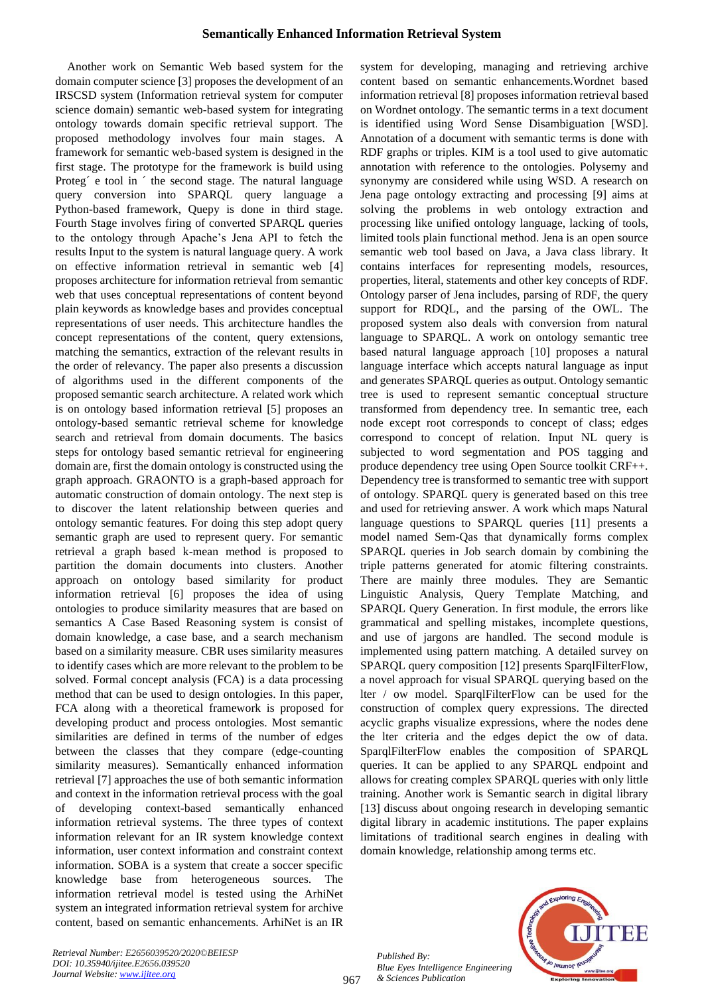## **Semantically Enhanced Information Retrieval System**

Another work on Semantic Web based system for the domain computer science [3] proposes the development of an IRSCSD system (Information retrieval system for computer science domain) semantic web-based system for integrating ontology towards domain specific retrieval support. The proposed methodology involves four main stages. A framework for semantic web-based system is designed in the first stage. The prototype for the framework is build using Proteg<sup> $\epsilon$ </sup> e tool in  $\epsilon$  the second stage. The natural language query conversion into SPARQL query language a Python-based framework, Quepy is done in third stage. Fourth Stage involves firing of converted SPARQL queries to the ontology through Apache's Jena API to fetch the results Input to the system is natural language query. A work on effective information retrieval in semantic web [4] proposes architecture for information retrieval from semantic web that uses conceptual representations of content beyond plain keywords as knowledge bases and provides conceptual representations of user needs. This architecture handles the concept representations of the content, query extensions, matching the semantics, extraction of the relevant results in the order of relevancy. The paper also presents a discussion of algorithms used in the different components of the proposed semantic search architecture. A related work which is on ontology based information retrieval [5] proposes an ontology-based semantic retrieval scheme for knowledge search and retrieval from domain documents. The basics steps for ontology based semantic retrieval for engineering domain are, first the domain ontology is constructed using the graph approach. GRAONTO is a graph-based approach for automatic construction of domain ontology. The next step is to discover the latent relationship between queries and ontology semantic features. For doing this step adopt query semantic graph are used to represent query. For semantic retrieval a graph based k-mean method is proposed to partition the domain documents into clusters. Another approach on ontology based similarity for product information retrieval [6] proposes the idea of using ontologies to produce similarity measures that are based on semantics A Case Based Reasoning system is consist of domain knowledge, a case base, and a search mechanism based on a similarity measure. CBR uses similarity measures to identify cases which are more relevant to the problem to be solved. Formal concept analysis (FCA) is a data processing method that can be used to design ontologies. In this paper, FCA along with a theoretical framework is proposed for developing product and process ontologies. Most semantic similarities are defined in terms of the number of edges between the classes that they compare (edge-counting similarity measures). Semantically enhanced information retrieval [7] approaches the use of both semantic information and context in the information retrieval process with the goal of developing context-based semantically enhanced information retrieval systems. The three types of context information relevant for an IR system knowledge context information, user context information and constraint context information. SOBA is a system that create a soccer specific knowledge base from heterogeneous sources. The information retrieval model is tested using the ArhiNet system an integrated information retrieval system for archive content, based on semantic enhancements. ArhiNet is an IR system for developing, managing and retrieving archive content based on semantic enhancements.Wordnet based information retrieval [8] proposes information retrieval based on Wordnet ontology. The semantic terms in a text document is identified using Word Sense Disambiguation [WSD]. Annotation of a document with semantic terms is done with RDF graphs or triples. KIM is a tool used to give automatic annotation with reference to the ontologies. Polysemy and synonymy are considered while using WSD. A research on Jena page ontology extracting and processing [9] aims at solving the problems in web ontology extraction and processing like unified ontology language, lacking of tools, limited tools plain functional method. Jena is an open source semantic web tool based on Java, a Java class library. It contains interfaces for representing models, resources, properties, literal, statements and other key concepts of RDF. Ontology parser of Jena includes, parsing of RDF, the query support for RDQL, and the parsing of the OWL. The proposed system also deals with conversion from natural language to SPARQL. A work on ontology semantic tree based natural language approach [10] proposes a natural language interface which accepts natural language as input and generates SPARQL queries as output. Ontology semantic tree is used to represent semantic conceptual structure transformed from dependency tree. In semantic tree, each node except root corresponds to concept of class; edges correspond to concept of relation. Input NL query is subjected to word segmentation and POS tagging and produce dependency tree using Open Source toolkit CRF++. Dependency tree is transformed to semantic tree with support of ontology. SPARQL query is generated based on this tree and used for retrieving answer. A work which maps Natural language questions to SPARQL queries [11] presents a model named Sem-Qas that dynamically forms complex SPARQL queries in Job search domain by combining the triple patterns generated for atomic filtering constraints. There are mainly three modules. They are Semantic Linguistic Analysis, Query Template Matching, and SPARQL Query Generation. In first module, the errors like grammatical and spelling mistakes, incomplete questions, and use of jargons are handled. The second module is implemented using pattern matching. A detailed survey on SPARQL query composition [12] presents SparqlFilterFlow, a novel approach for visual SPARQL querying based on the lter / ow model. SparqlFilterFlow can be used for the construction of complex query expressions. The directed acyclic graphs visualize expressions, where the nodes dene the lter criteria and the edges depict the ow of data. SparqlFilterFlow enables the composition of SPARQL queries. It can be applied to any SPARQL endpoint and allows for creating complex SPARQL queries with only little training. Another work is Semantic search in digital library [13] discuss about ongoing research in developing semantic digital library in academic institutions. The paper explains limitations of traditional search engines in dealing with domain knowledge, relationship among terms etc.

*Retrieval Number: E2656039520/2020©BEIESP DOI: 10.35940/ijitee.E2656.039520 Journal Website[: www.ijitee.org](http://www.ijitee.org/)*





967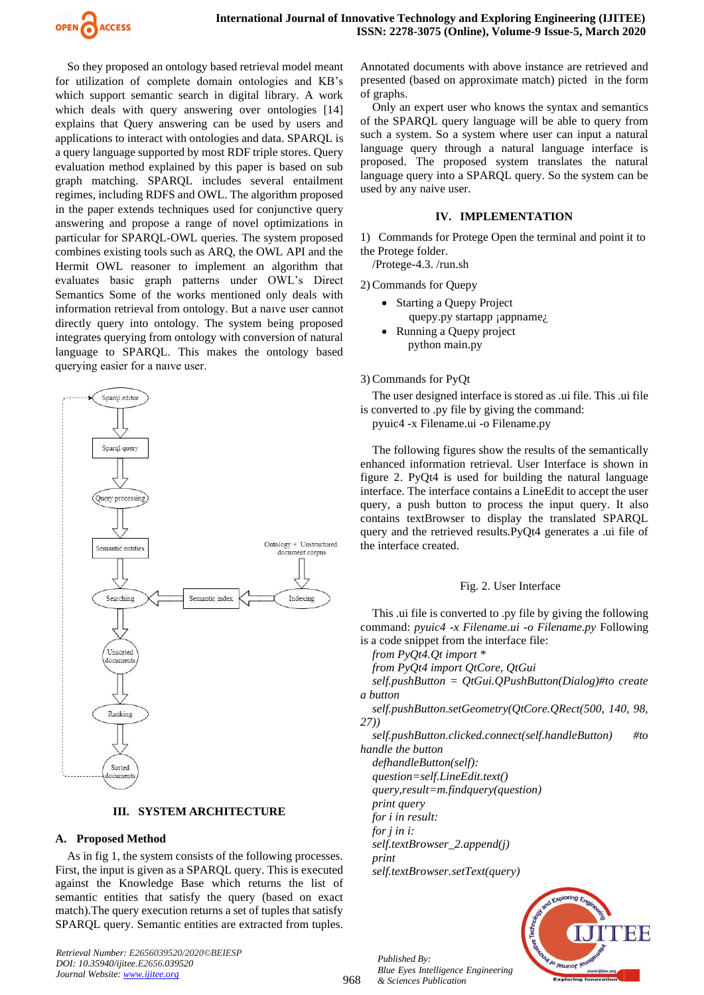

So they proposed an ontology based retrieval model meant for utilization of complete domain ontologies and KB's which support semantic search in digital library. A work which deals with query answering over ontologies [14] explains that Query answering can be used by users and applications to interact with ontologies and data. SPARQL is a query language supported by most RDF triple stores. Query evaluation method explained by this paper is based on sub graph matching. SPARQL includes several entailment regimes, including RDFS and OWL. The algorithm proposed in the paper extends techniques used for conjunctive query answering and propose a range of novel optimizations in particular for SPARQL-OWL queries. The system proposed combines existing tools such as ARQ, the OWL API and the Hermit OWL reasoner to implement an algorithm that evaluates basic graph patterns under OWL's Direct Semantics Some of the works mentioned only deals with information retrieval from ontology. But a naıve user cannot directly query into ontology. The system being proposed integrates querying from ontology with conversion of natural language to SPARQL. This makes the ontology based querying easier for a naıve user.



#### **III. SYSTEM ARCHITECTURE**

#### **A. Proposed Method**

As in fig 1, the system consists of the following processes. First, the input is given as a SPARQL query. This is executed against the Knowledge Base which returns the list of semantic entities that satisfy the query (based on exact match).The query execution returns a set of tuples that satisfy SPARQL query. Semantic entities are extracted from tuples.

*Retrieval Number: E2656039520/2020©BEIESP DOI: 10.35940/ijitee.E2656.039520 Journal Website[: www.ijitee.org](http://www.ijitee.org/)*

Annotated documents with above instance are retrieved and presented (based on approximate match) picted in the form of graphs.

Only an expert user who knows the syntax and semantics of the SPARQL query language will be able to query from such a system. So a system where user can input a natural language query through a natural language interface is proposed. The proposed system translates the natural language query into a SPARQL query. So the system can be used by any naive user.

### **IV. IMPLEMENTATION**

1) Commands for Protege Open the terminal and point it to the Protege folder.

/Protege-4.3. /run.sh

2) Commands for Quepy

- Starting a Quepy Project
	- quepy.py startapp ; appname<sub>i</sub>.
- Running a Quepy project python main.py

#### 3) Commands for PyQt

The user designed interface is stored as .ui file. This .ui file is converted to .py file by giving the command:

pyuic4 -x Filename.ui -o Filename.py

The following figures show the results of the semantically enhanced information retrieval. User Interface is shown in figure 2. PyQt4 is used for building the natural language interface. The interface contains a LineEdit to accept the user query, a push button to process the input query. It also contains textBrowser to display the translated SPARQL query and the retrieved results.PyQt4 generates a .ui file of the interface created.

#### Fig. 2. User Interface

This .ui file is converted to .py file by giving the following command: *pyuic4 -x Filename.ui -o Filename.py* Following is a code snippet from the interface file:

*from PyQt4.Qt import \**

*from PyQt4 import QtCore, QtGui*

*self.pushButton = QtGui.QPushButton(Dialog)#to create a button*

*self.pushButton.setGeometry(QtCore.QRect(500, 140, 98, 27))*

*self.pushButton.clicked.connect(self.handleButton) #to handle the button*

*defhandleButton(self):*

*question=self.LineEdit.text()*

*query,result=m.findquery(question)*

*print query for i in result:*

*for j in i:*

*self.textBrowser\_2.append(j) print*

*self.textBrowser.setText(query)*



968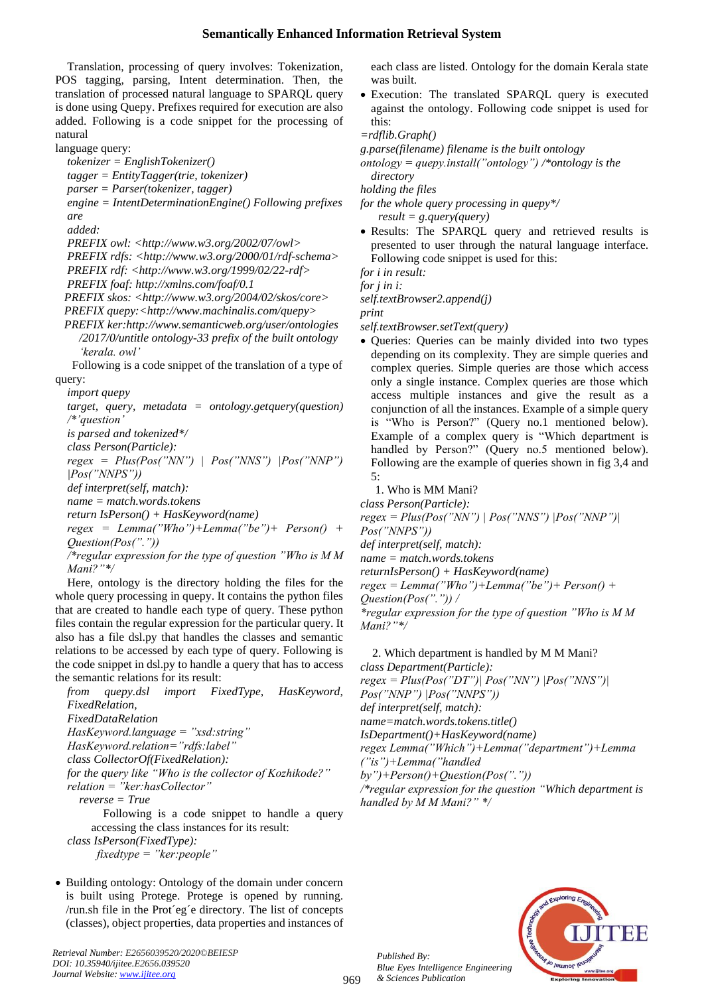## **Semantically Enhanced Information Retrieval System**

Translation, processing of query involves: Tokenization, POS tagging, parsing, Intent determination. Then, the translation of processed natural language to SPARQL query is done using Quepy. Prefixes required for execution are also added. Following is a code snippet for the processing of natural

language query:

*tokenizer = EnglishTokenizer() tagger = EntityTagger(trie, tokenizer) parser = Parser(tokenizer, tagger) engine = IntentDeterminationEngine() Following prefixes are added: PREFIX owl: <http://www.w3.org/2002/07/owl> PREFIX rdfs: <http://www.w3.org/2000/01/rdf-schema> PREFIX rdf: <http://www.w3.org/1999/02/22-rdf> PREFIX foaf: http://xmlns.com/foaf/0.1 PREFIX skos: <http://www.w3.org/2004/02/skos/core> PREFIX quepy:<http://www.machinalis.com/quepy> PREFIX ker:http://www.semanticweb.org/user/ontologies /2017/0/untitle ontology-33 prefix of the built ontology 'kerala. owl'* Following is a code snippet of the translation of a type of query:

*import quepy*

*target, query, metadata = ontology.getquery(question) /\*'question' is parsed and tokenized\*/ class Person(Particle):*  $reeex = Plus(Pos(''NN'') | Pos(''NNS'') | Pos(''NNP'')$ *|Pos("NNPS")) def interpret(self, match): name = match.words.tokens return IsPerson() + HasKeyword(name) regex = Lemma("Who")+Lemma("be")+ Person() + Question(Pos("."))*

*/\*regular expression for the type of question "Who is M M Mani?"\*/*

Here, ontology is the directory holding the files for the whole query processing in quepy. It contains the python files that are created to handle each type of query. These python files contain the regular expression for the particular query. It also has a file dsl.py that handles the classes and semantic relations to be accessed by each type of query. Following is the code snippet in dsl.py to handle a query that has to access the semantic relations for its result:

*from quepy.dsl import FixedType, HasKeyword, FixedRelation, FixedDataRelation HasKeyword.language = "xsd:string" HasKeyword.relation="rdfs:label" class CollectorOf(FixedRelation): for the query like "Who is the collector of Kozhikode?" relation = "ker:hasCollector" reverse = True* Following is a code snippet to handle a query

accessing the class instances for its result: *class IsPerson(FixedType):*

 *fixedtype = "ker:people"*

• Building ontology: Ontology of the domain under concern is built using Protege. Protege is opened by running. /run.sh file in the Prot´eg´e directory. The list of concepts (classes), object properties, data properties and instances of

*Retrieval Number: E2656039520/2020©BEIESP DOI: 10.35940/ijitee.E2656.039520 Journal Website[: www.ijitee.org](http://www.ijitee.org/)*

each class are listed. Ontology for the domain Kerala state was built.

• Execution: The translated SPARQL query is executed against the ontology. Following code snippet is used for this:

*=rdflib.Graph()*

*g.parse(filename) filename is the built ontology ontology = quepy.install("ontology") /\*ontology is the directory holding the files*

*for the whole query processing in quepy\*/*

 *result = g.query(query)*

• Results: The SPARQL query and retrieved results is presented to user through the natural language interface. Following code snippet is used for this:

*for i in result:*

*for j in i:*

*self.textBrowser2.append(j)*

*print*

*self.textBrowser.setText(query)*

• Queries: Queries can be mainly divided into two types depending on its complexity. They are simple queries and complex queries. Simple queries are those which access only a single instance. Complex queries are those which access multiple instances and give the result as a conjunction of all the instances. Example of a simple query is "Who is Person?" (Query no.1 mentioned below). Example of a complex query is "Which department is handled by Person?" (Query no.5 mentioned below). Following are the example of queries shown in fig 3,4 and 5:

1. Who is MM Mani?

*class Person(Particle):*

*regex = Plus(Pos("NN") | Pos("NNS") |Pos("NNP")|*

*Pos("NNPS")) def interpret(self, match):*

*name = match.words.tokens*

*returnIsPerson() + HasKeyword(name)*

*regex = Lemma("Who")+Lemma("be")+ Person() + Question(Pos(".")) /*

*\*regular expression for the type of question "Who is M M Mani?"\*/*

 2. Which department is handled by M M Mani? *class Department(Particle): regex = Plus(Pos("DT")| Pos("NN") |Pos("NNS")| Pos("NNP") |Pos("NNPS")) def interpret(self, match): name=match.words.tokens.title() IsDepartment()+HasKeyword(name) regex Lemma("Which")+Lemma("department")+Lemma ("is")+Lemma("handled by")+Person()+Question(Pos(".")) /\*regular expression for the question "Which department is handled by M M Mani?" \*/*

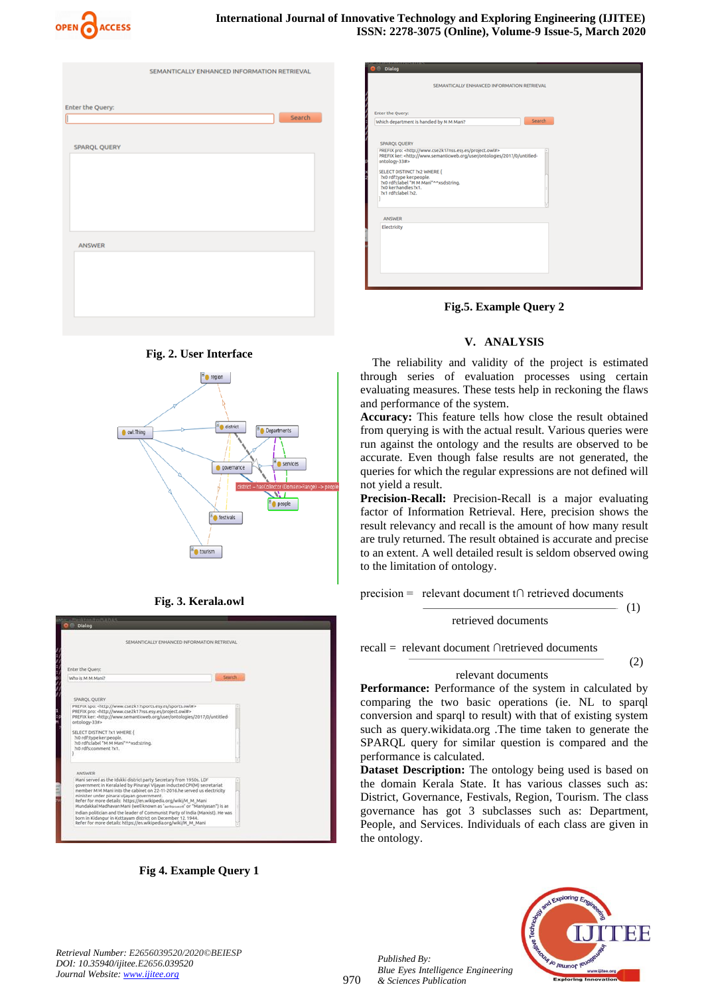

| Enter the Query:<br>Search<br>ſ<br>SPARQL QUERY |
|-------------------------------------------------|
|                                                 |
|                                                 |
|                                                 |
|                                                 |
|                                                 |
|                                                 |
|                                                 |
|                                                 |
|                                                 |
|                                                 |
|                                                 |
|                                                 |
|                                                 |
| ANSWER                                          |
|                                                 |
|                                                 |
|                                                 |
|                                                 |
|                                                 |
|                                                 |

**Fig. 2. User Interface**









| <b>D</b> <sup>©</sup> Dialog<br>SEMANTICALLY ENHANCED INFORMATION RETRIEVAL                                                                                                                                                                                        |                                                                           |        |  |  |
|--------------------------------------------------------------------------------------------------------------------------------------------------------------------------------------------------------------------------------------------------------------------|---------------------------------------------------------------------------|--------|--|--|
| <b>Enter the Query:</b><br>Which department is handled by M M Mani?                                                                                                                                                                                                |                                                                           | Search |  |  |
| SPAROL QUERY<br>PREFIX pro: <http: project.owl#="" www.cse2k17nss.esy.es=""><br/>ontology-33#&gt;<br/>SELECT DISTINCT ?x2 WHERE {<br/>?x0 rdf:type ker:people.<br/>2x0 rdfs:label "M M Mani"^^xsd:string.<br/>7x0 ker:handles ?x1.<br/>7x1 rdfs:label 7x2.</http:> | PREFIX ker: < http://www.semanticweb.org/user/ontologies/2017/0/untitled- |        |  |  |
| ANSWER                                                                                                                                                                                                                                                             |                                                                           |        |  |  |
| Electricity                                                                                                                                                                                                                                                        |                                                                           |        |  |  |

**Fig.5. Example Query 2**

## **V. ANALYSIS**

The reliability and validity of the project is estimated through series of evaluation processes using certain evaluating measures. These tests help in reckoning the flaws and performance of the system.

**Accuracy:** This feature tells how close the result obtained from querying is with the actual result. Various queries were run against the ontology and the results are observed to be accurate. Even though false results are not generated, the queries for which the regular expressions are not defined will not yield a result.

**Precision-Recall:** Precision-Recall is a major evaluating factor of Information Retrieval. Here, precision shows the result relevancy and recall is the amount of how many result are truly returned. The result obtained is accurate and precise to an extent. A well detailed result is seldom observed owing to the limitation of ontology.

precision = relevant document t∩ retrieved documents

$$
T = (1)
$$

recall = relevant document ∩retrieved documents

#### $\overline{\hspace{1.5cm} (2)}$

#### relevant documents

**Performance:** Performance of the system in calculated by comparing the two basic operations (ie. NL to sparql conversion and sparql to result) with that of existing system such as query.wikidata.org .The time taken to generate the SPARQL query for similar question is compared and the performance is calculated.

**Dataset Description:** The ontology being used is based on the domain Kerala State. It has various classes such as: District, Governance, Festivals, Region, Tourism. The class governance has got 3 subclasses such as: Department, People, and Services. Individuals of each class are given in the ontology.



*Retrieval Number: E2656039520/2020©BEIESP DOI: 10.35940/ijitee.E2656.039520 Journal Website[: www.ijitee.org](http://www.ijitee.org/)*

*Published By:*

*& Sciences Publication* 

*Blue Eyes Intelligence Engineering*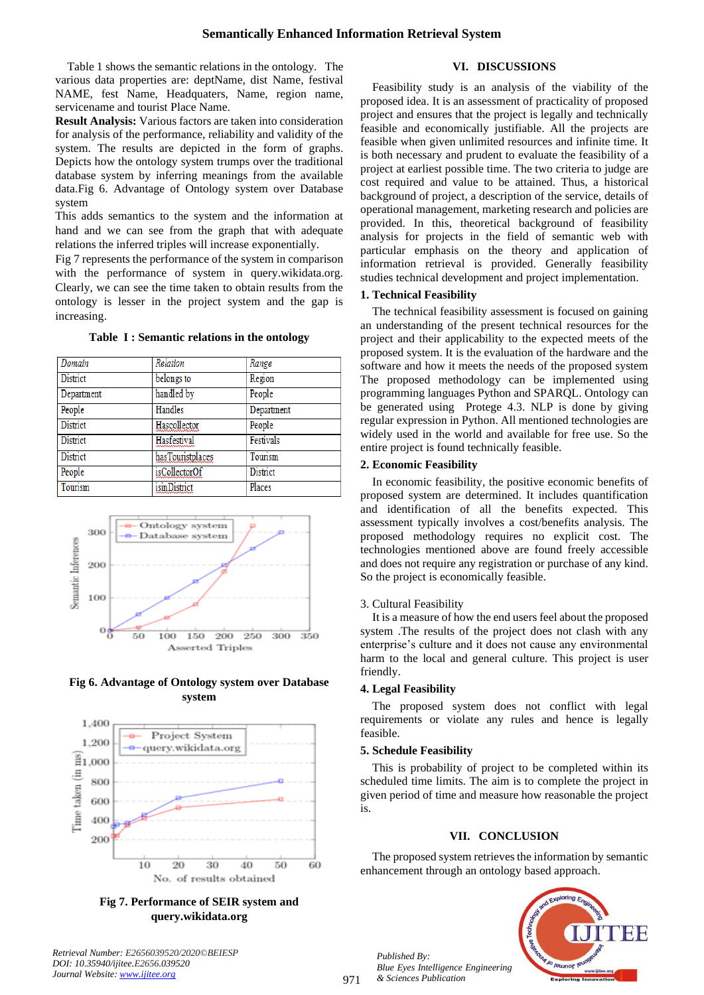Table 1 shows the semantic relations in the ontology. The various data properties are: deptName, dist Name, festival NAME, fest Name, Headquaters, Name, region name, servicename and tourist Place Name.

**Result Analysis:** Various factors are taken into consideration for analysis of the performance, reliability and validity of the system. The results are depicted in the form of graphs. Depicts how the ontology system trumps over the traditional database system by inferring meanings from the available data.Fig 6. Advantage of Ontology system over Database system

This adds semantics to the system and the information at hand and we can see from the graph that with adequate relations the inferred triples will increase exponentially.

Fig 7 represents the performance of the system in comparison with the performance of system in query.wikidata.org. Clearly, we can see the time taken to obtain results from the ontology is lesser in the project system and the gap is increasing.

## **Table I : Semantic relations in the ontology**

| Domain          | Relation            | Range           |
|-----------------|---------------------|-----------------|
| <b>District</b> | belongs to          | Region          |
| Department      | handled by          | People          |
| People          | Handles             | Department      |
| District        | Hascollector        | People          |
| <b>District</b> | Hasfestival         | Festivals       |
| <b>District</b> | hasTouristplaces    | Tourism         |
| People          | isCollectorOf       | <b>District</b> |
| Tourism         | <i>isinDistrict</i> | Places          |



# **Fig 6. Advantage of Ontology system over Database system**



**Fig 7. Performance of SEIR system and query.wikidata.org**

## **VI. DISCUSSIONS**

Feasibility study is an analysis of the viability of the proposed idea. It is an assessment of practicality of proposed project and ensures that the project is legally and technically feasible and economically justifiable. All the projects are feasible when given unlimited resources and infinite time. It is both necessary and prudent to evaluate the feasibility of a project at earliest possible time. The two criteria to judge are cost required and value to be attained. Thus, a historical background of project, a description of the service, details of operational management, marketing research and policies are provided. In this, theoretical background of feasibility analysis for projects in the field of semantic web with particular emphasis on the theory and application of information retrieval is provided. Generally feasibility studies technical development and project implementation.

### **1. Technical Feasibility**

The technical feasibility assessment is focused on gaining an understanding of the present technical resources for the project and their applicability to the expected meets of the proposed system. It is the evaluation of the hardware and the software and how it meets the needs of the proposed system The proposed methodology can be implemented using programming languages Python and SPARQL. Ontology can be generated using Protege 4.3. NLP is done by giving regular expression in Python. All mentioned technologies are widely used in the world and available for free use. So the entire project is found technically feasible.

#### **2. Economic Feasibility**

In economic feasibility, the positive economic benefits of proposed system are determined. It includes quantification and identification of all the benefits expected. This assessment typically involves a cost/benefits analysis. The proposed methodology requires no explicit cost. The technologies mentioned above are found freely accessible and does not require any registration or purchase of any kind. So the project is economically feasible.

#### 3. Cultural Feasibility

It is a measure of how the end users feel about the proposed system .The results of the project does not clash with any enterprise's culture and it does not cause any environmental harm to the local and general culture. This project is user friendly.

#### **4. Legal Feasibility**

The proposed system does not conflict with legal requirements or violate any rules and hence is legally feasible.

## **5. Schedule Feasibility**

This is probability of project to be completed within its scheduled time limits. The aim is to complete the project in given period of time and measure how reasonable the project is.

## **VII. CONCLUSION**

The proposed system retrieves the information by semantic enhancement through an ontology based approach.



*Published By: Blue Eyes Intelligence Engineering & Sciences Publication*